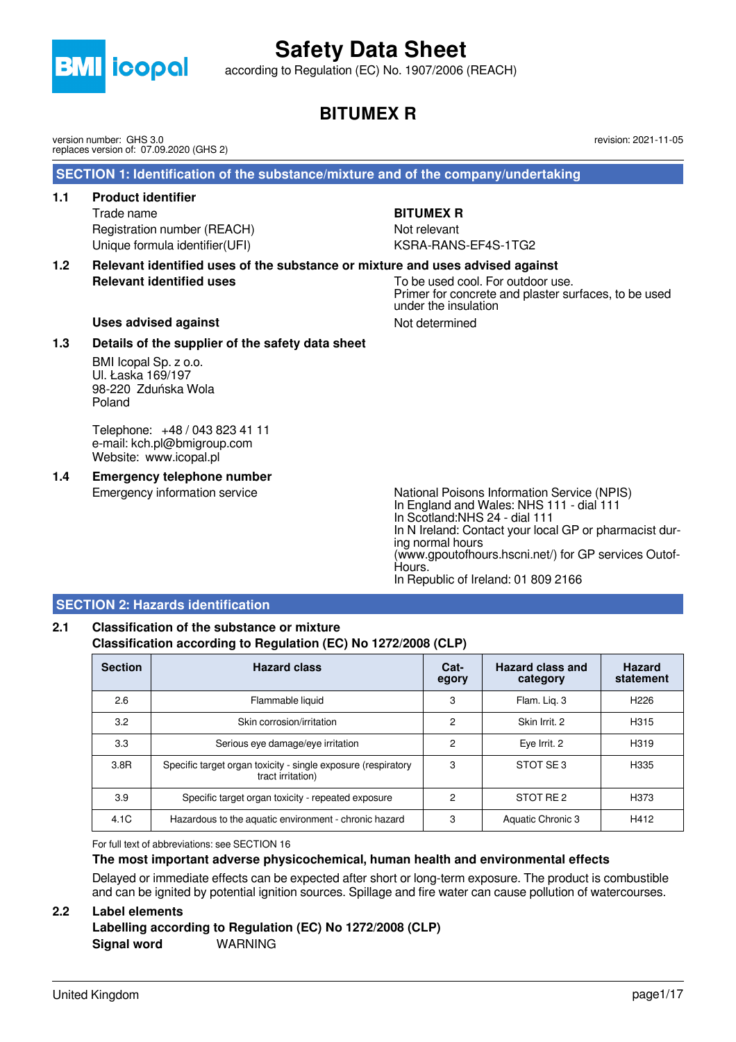

according to Regulation (EC) No. 1907/2006 (REACH)

### **BITUMEX R**

version number: GHS 3.0 replaces version of: 07.09.2020 (GHS 2)

 **SECTION 1: Identification of the substance/mixture and of the company/undertaking**

### **1.1 Product identifier**

Trade name **BITUMEX R** Registration number (REACH) Not relevant Unique formula identifier(UFI) KSRA-RANS-EF4S-1TG2

**1.2 Relevant identified uses of the substance or mixture and uses advised against Relevant identified uses** To be used cool. For outdoor use.

Primer for concrete and plaster surfaces, to be used under the insulation

revision: 2021-11-05

### Uses advised against **Not determined** Not determined

### **1.3 Details of the supplier of the safety data sheet**

BMI Icopal Sp. z o.o. Ul. Łaska 169/197 98-220 Zduńska Wola Poland

Telephone: +48 / 043 823 41 11 e-mail: kch.pl@bmigroup.com Website: www.icopal.pl

**1.4 Emergency telephone number**

Emergency information service National Poisons Information Service (NPIS) In England and Wales: NHS 111 - dial 111 In Scotland:NHS 24 - dial 111 In N Ireland: Contact your local GP or pharmacist during normal hours (www.gpoutofhours.hscni.net/) for GP services Outof-Hours. In Republic of Ireland: 01 809 2166

### **SECTION 2: Hazards identification**

### **2.1 Classification of the substance or mixture Classification according to Regulation (EC) No 1272/2008 (CLP)**

| <b>Section</b> | <b>Hazard class</b>                                                                | Cat-<br>egory  | <b>Hazard class and</b><br>category | <b>Hazard</b><br>statement |
|----------------|------------------------------------------------------------------------------------|----------------|-------------------------------------|----------------------------|
| 2.6            | Flammable liquid                                                                   | 3              | Flam. Lig. 3                        | H <sub>226</sub>           |
| 3.2            | Skin corrosion/irritation                                                          | $\overline{c}$ | Skin Irrit. 2                       | H <sub>3</sub> 15          |
| 3.3            | Serious eye damage/eye irritation                                                  | 2              | Eye Irrit. 2                        | H <sub>3</sub> 19          |
| 3.8R           | Specific target organ toxicity - single exposure (respiratory<br>tract irritation) | 3              | STOT SE3                            | H335                       |
| 3.9            | Specific target organ toxicity - repeated exposure                                 | 2              | STOT RE2                            | H <sub>373</sub>           |
| 4.1C           | Hazardous to the aquatic environment - chronic hazard                              | 3              | Aquatic Chronic 3                   | H412                       |

For full text of abbreviations: see SECTION 16

### **The most important adverse physicochemical, human health and environmental effects**

Delayed or immediate effects can be expected after short or long-term exposure. The product is combustible and can be ignited by potential ignition sources. Spillage and fire water can cause pollution of watercourses.

### **2.2 Label elements**

### **Labelling according to Regulation (EC) No 1272/2008 (CLP) Signal word** WARNING

United Kingdom page 1/17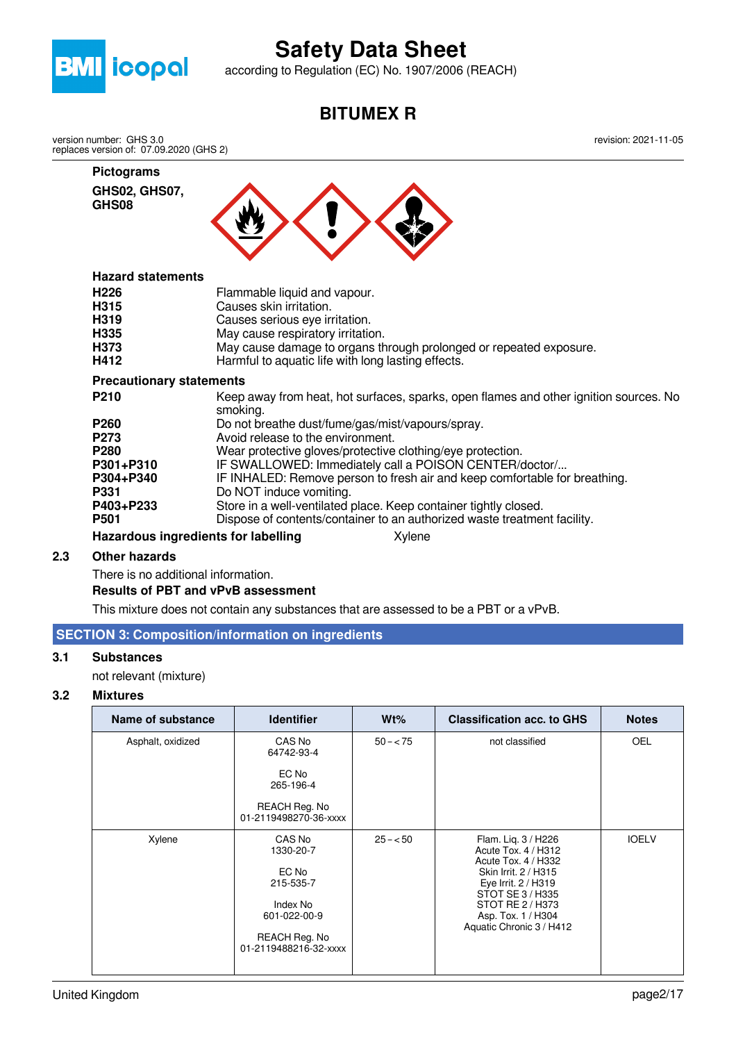

according to Regulation (EC) No. 1907/2006 (REACH)

### **BITUMEX R**

version number: GHS 3.0 replaces version of: 07.09.2020 (GHS 2)

> **Pictograms GHS02, GHS07,**

**GHS08**

revision: 2021-11-05



### **Hazard statements**

| H226                            | Flammable liquid and vapour.                                                                      |
|---------------------------------|---------------------------------------------------------------------------------------------------|
| H315                            | Causes skin irritation.                                                                           |
| H319                            | Causes serious eye irritation.                                                                    |
| H335                            | May cause respiratory irritation.                                                                 |
| H373                            | May cause damage to organs through prolonged or repeated exposure.                                |
| H412                            | Harmful to aquatic life with long lasting effects.                                                |
| <b>Precautionary statements</b> |                                                                                                   |
| P210                            | Keep away from heat, hot surfaces, sparks, open flames and other ignition sources. No<br>smoking. |
| P260                            | Do not breathe dust/fume/gas/mist/vapours/spray.                                                  |
| P273                            | Avoid release to the environment.                                                                 |
| P280                            | Wear protective gloves/protective clothing/eye protection.                                        |
| P301+P310                       | IF SWALLOWED: Immediately call a POISON CENTER/doctor/                                            |
| P304+P340                       | IF INHALED: Remove person to fresh air and keep comfortable for breathing.                        |
| P331                            | Do NOT induce vomiting.                                                                           |
| P403+P233                       | Store in a well-ventilated place. Keep container tightly closed.                                  |
| P501                            | Dispose of contents/container to an authorized waste treatment facility.                          |
|                                 |                                                                                                   |

### **Hazardous ingredients for labelling** Xylene

### **2.3 Other hazards**

There is no additional information.

### **Results of PBT and vPvB assessment**

This mixture does not contain any substances that are assessed to be a PBT or a vPvB.

### **SECTION 3: Composition/information on ingredients**

### **3.1 Substances**

not relevant (mixture)

### **3.2 Mixtures**

| Name of substance | <b>Identifier</b>                          | Wt%         | <b>Classification acc. to GHS</b>                                 | <b>Notes</b> |
|-------------------|--------------------------------------------|-------------|-------------------------------------------------------------------|--------------|
| Asphalt, oxidized | CAS No<br>64742-93-4<br>EC No<br>265-196-4 | $50 - < 75$ | not classified                                                    | <b>OEL</b>   |
|                   | REACH Reg. No<br>01-2119498270-36-xxxx     |             |                                                                   |              |
| Xylene            | CAS No<br>1330-20-7                        | $25 - 50$   | Flam. Lig. 3 / H226<br>Acute Tox. 4 / H312<br>Acute Tox. 4 / H332 | <b>IOELV</b> |
|                   | EC No<br>215-535-7                         |             | Skin Irrit, 2 / H315<br>Eye Irrit. 2 / H319<br>STOT SE 3 / H335   |              |
|                   | Index No<br>601-022-00-9                   |             | STOT RE 2/H373<br>Asp. Tox. 1 / H304<br>Aquatic Chronic 3 / H412  |              |
|                   | REACH Reg. No<br>01-2119488216-32-xxxx     |             |                                                                   |              |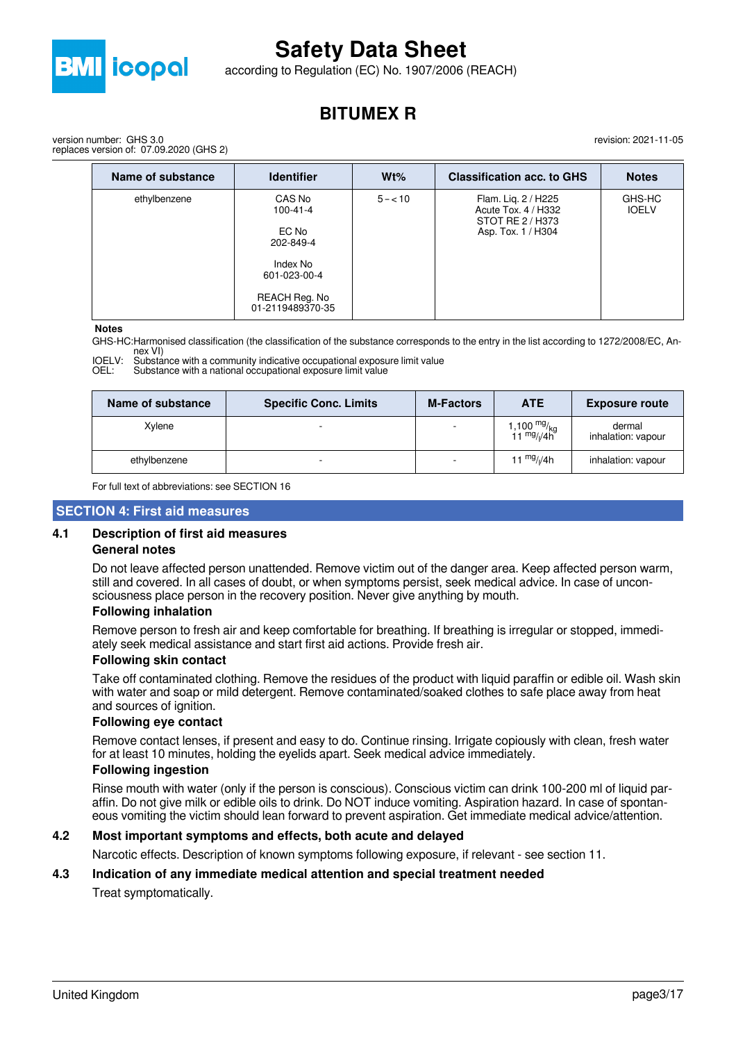

according to Regulation (EC) No. 1907/2006 (REACH)

### **BITUMEX R**

version number: GHS 3.0 replaces version of: 07.09.2020 (GHS 2)

| Name of substance | <b>Identifier</b>                                                                                               | $Wt\%$   | <b>Classification acc. to GHS</b>                                                    | <b>Notes</b>           |
|-------------------|-----------------------------------------------------------------------------------------------------------------|----------|--------------------------------------------------------------------------------------|------------------------|
| ethylbenzene      | CAS No<br>$100 - 41 - 4$<br>EC No<br>202-849-4<br>Index No<br>601-023-00-4<br>REACH Reg. No<br>01-2119489370-35 | $5 - 10$ | Flam. Lig. 2 / H225<br>Acute Tox. 4 / H332<br>STOT RE 2 / H373<br>Asp. Tox. 1 / H304 | GHS-HC<br><b>IOELV</b> |

#### **Notes**

GHS-HC:Harmonised classification (the classification of the substance corresponds to the entry in the list according to 1272/2008/EC, Annex VI)

IOELV: Substance with a community indicative occupational exposure limit value<br>OFL: Substance with a national occupational exposure limit value Substance with a national occupational exposure limit value

| Name of substance | <b>Specific Conc. Limits</b> | <b>M-Factors</b>         | <b>ATE</b>                                                                 | <b>Exposure route</b>        |
|-------------------|------------------------------|--------------------------|----------------------------------------------------------------------------|------------------------------|
| Xvlene            |                              | $\overline{\phantom{a}}$ | 1,100 <sup>mg</sup> / <sub>kg</sub><br>11 <sup>mg</sup> / <sub>l</sub> /4h | dermal<br>inhalation: vapour |
| ethylbenzene      | ۰                            | $\overline{\phantom{a}}$ | 11 $mg/(4h)$                                                               | inhalation: vapour           |

For full text of abbreviations: see SECTION 16

### **SECTION 4: First aid measures**

### **4.1 Description of first aid measures**

### **General notes**

Do not leave affected person unattended. Remove victim out of the danger area. Keep affected person warm, still and covered. In all cases of doubt, or when symptoms persist, seek medical advice. In case of unconsciousness place person in the recovery position. Never give anything by mouth.

#### **Following inhalation**

Remove person to fresh air and keep comfortable for breathing. If breathing is irregular or stopped, immediately seek medical assistance and start first aid actions. Provide fresh air.

#### **Following skin contact**

Take off contaminated clothing. Remove the residues of the product with liquid paraffin or edible oil. Wash skin with water and soap or mild detergent. Remove contaminated/soaked clothes to safe place away from heat and sources of ignition.

### **Following eye contact**

Remove contact lenses, if present and easy to do. Continue rinsing. Irrigate copiously with clean, fresh water for at least 10 minutes, holding the eyelids apart. Seek medical advice immediately.

### **Following ingestion**

Rinse mouth with water (only if the person is conscious). Conscious victim can drink 100-200 ml of liquid paraffin. Do not give milk or edible oils to drink. Do NOT induce vomiting. Aspiration hazard. In case of spontaneous vomiting the victim should lean forward to prevent aspiration. Get immediate medical advice/attention.

### **4.2 Most important symptoms and effects, both acute and delayed**

Narcotic effects. Description of known symptoms following exposure, if relevant - see section 11.

### **4.3 Indication of any immediate medical attention and special treatment needed**

Treat symptomatically.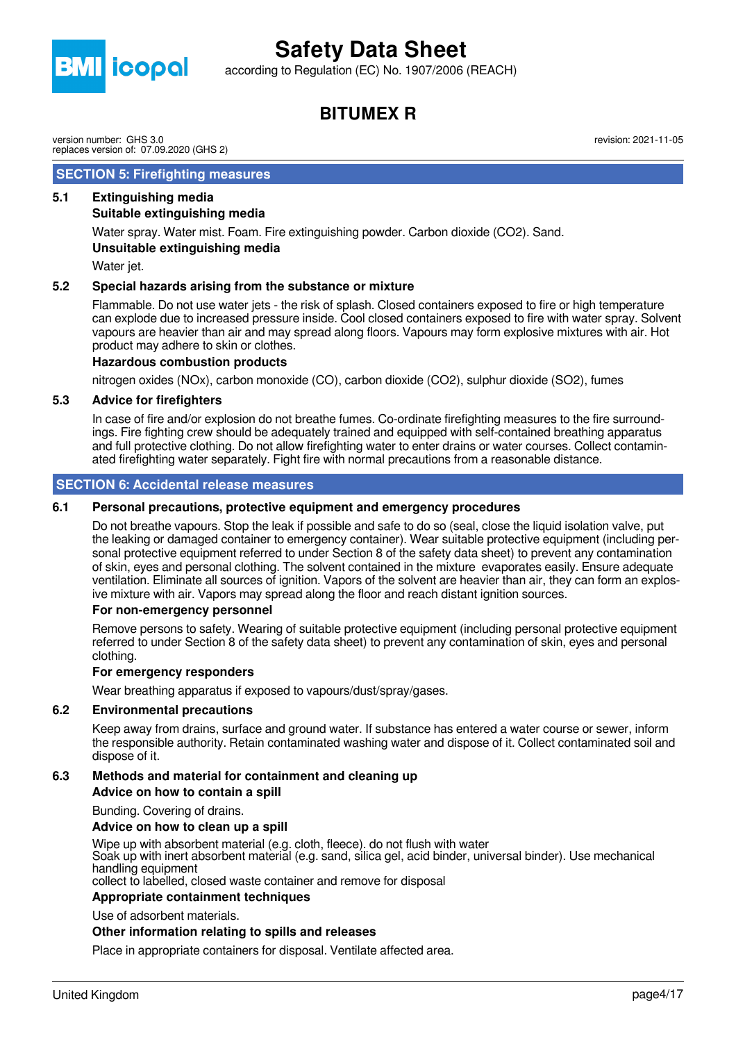

according to Regulation (EC) No. 1907/2006 (REACH)

### **BITUMEX R**

version number: GHS 3.0 replaces version of: 07.09.2020 (GHS 2)

### **SECTION 5: Firefighting measures**

### **5.1 Extinguishing media**

### **Suitable extinguishing media**

Water spray. Water mist. Foam. Fire extinguishing powder. Carbon dioxide (CO2). Sand. **Unsuitable extinguishing media**

Water jet.

### **5.2 Special hazards arising from the substance or mixture**

Flammable. Do not use water jets - the risk of splash. Closed containers exposed to fire or high temperature can explode due to increased pressure inside. Cool closed containers exposed to fire with water spray. Solvent vapours are heavier than air and may spread along floors. Vapours may form explosive mixtures with air. Hot product may adhere to skin or clothes.

### **Hazardous combustion products**

nitrogen oxides (NOx), carbon monoxide (CO), carbon dioxide (CO2), sulphur dioxide (SO2), fumes

### **5.3 Advice for firefighters**

In case of fire and/or explosion do not breathe fumes. Co-ordinate firefighting measures to the fire surroundings. Fire fighting crew should be adequately trained and equipped with self-contained breathing apparatus and full protective clothing. Do not allow firefighting water to enter drains or water courses. Collect contaminated firefighting water separately. Fight fire with normal precautions from a reasonable distance.

### **SECTION 6: Accidental release measures**

### **6.1 Personal precautions, protective equipment and emergency procedures**

Do not breathe vapours. Stop the leak if possible and safe to do so (seal, close the liquid isolation valve, put the leaking or damaged container to emergency container). Wear suitable protective equipment (including personal protective equipment referred to under Section 8 of the safety data sheet) to prevent any contamination of skin, eyes and personal clothing. The solvent contained in the mixture evaporates easily. Ensure adequate ventilation. Eliminate all sources of ignition. Vapors of the solvent are heavier than air, they can form an explosive mixture with air. Vapors may spread along the floor and reach distant ignition sources.

### **For non-emergency personnel**

Remove persons to safety. Wearing of suitable protective equipment (including personal protective equipment referred to under Section 8 of the safety data sheet) to prevent any contamination of skin, eyes and personal clothing.

### **For emergency responders**

Wear breathing apparatus if exposed to vapours/dust/spray/gases.

### **6.2 Environmental precautions**

Keep away from drains, surface and ground water. If substance has entered a water course or sewer, inform the responsible authority. Retain contaminated washing water and dispose of it. Collect contaminated soil and dispose of it.

### **6.3 Methods and material for containment and cleaning up Advice on how to contain a spill**

Bunding. Covering of drains.

### **Advice on how to clean up a spill**

Wipe up with absorbent material (e.g. cloth, fleece). do not flush with water

Soak up with inert absorbent material (e.g. sand, silica gel, acid binder, universal binder). Use mechanical handling equipment

### collect to labelled, closed waste container and remove for disposal

### **Appropriate containment techniques**

Use of adsorbent materials.

### **Other information relating to spills and releases**

Place in appropriate containers for disposal. Ventilate affected area.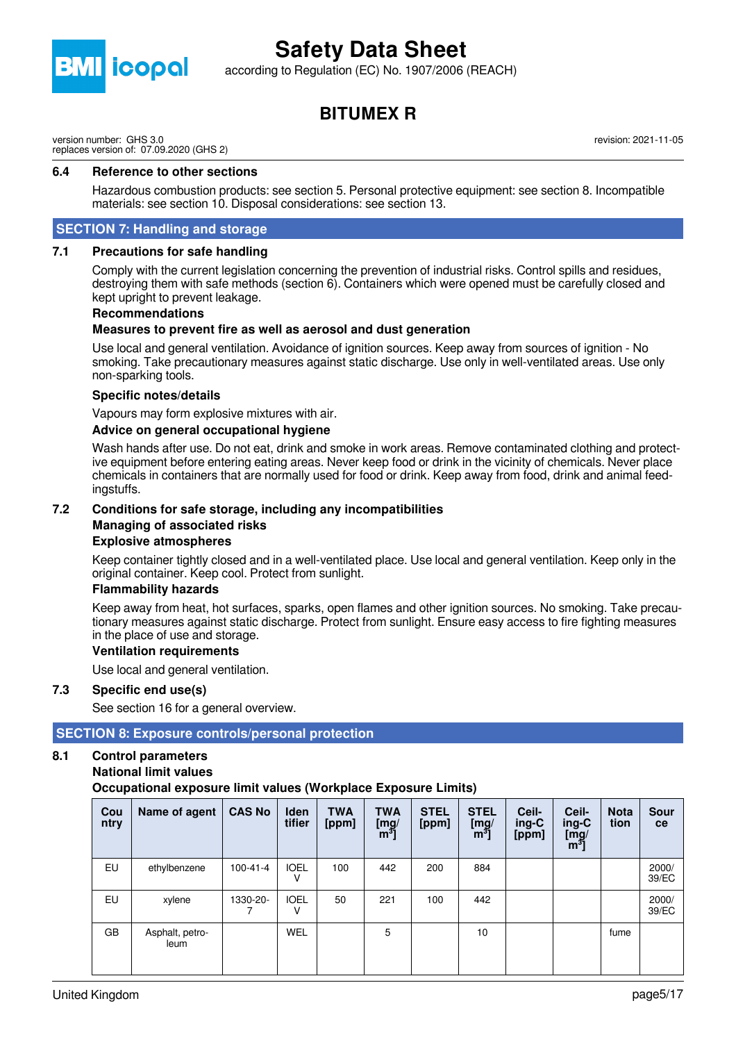

according to Regulation (EC) No. 1907/2006 (REACH)

## **BITUMEX R**

revision: 2021-11-05

version number: GHS 3.0 replaces version of: 07.09.2020 (GHS 2)

### **6.4 Reference to other sections**

Hazardous combustion products: see section 5. Personal protective equipment: see section 8. Incompatible materials: see section 10. Disposal considerations: see section 13.

### **SECTION 7: Handling and storage**

### **7.1 Precautions for safe handling**

Comply with the current legislation concerning the prevention of industrial risks. Control spills and residues, destroying them with safe methods (section 6). Containers which were opened must be carefully closed and kept upright to prevent leakage.

### **Recommendations**

### **Measures to prevent fire as well as aerosol and dust generation**

Use local and general ventilation. Avoidance of ignition sources. Keep away from sources of ignition - No smoking. Take precautionary measures against static discharge. Use only in well-ventilated areas. Use only non-sparking tools.

### **Specific notes/details**

Vapours may form explosive mixtures with air.

### **Advice on general occupational hygiene**

Wash hands after use. Do not eat, drink and smoke in work areas. Remove contaminated clothing and protective equipment before entering eating areas. Never keep food or drink in the vicinity of chemicals. Never place chemicals in containers that are normally used for food or drink. Keep away from food, drink and animal feedingstuffs.

### **7.2 Conditions for safe storage, including any incompatibilities**

### **Managing of associated risks**

### **Explosive atmospheres**

Keep container tightly closed and in a well-ventilated place. Use local and general ventilation. Keep only in the original container. Keep cool. Protect from sunlight.

### **Flammability hazards**

Keep away from heat, hot surfaces, sparks, open flames and other ignition sources. No smoking. Take precautionary measures against static discharge. Protect from sunlight. Ensure easy access to fire fighting measures in the place of use and storage.

### **Ventilation requirements**

Use local and general ventilation.

### **7.3 Specific end use(s)**

See section 16 for a general overview.

### **SECTION 8: Exposure controls/personal protection**

### **8.1 Control parameters**

### **National limit values**

**Occupational exposure limit values (Workplace Exposure Limits)**

| Cou<br>ntry | Name of agent           | <b>CAS No</b>  | <b>Iden</b><br>tifier | <b>TWA</b><br>[ppm] | <b>TWA</b><br>$\begin{bmatrix} \text{mg/} \\ \text{m}^3 \end{bmatrix}$ | <b>STEL</b><br>[ppm] | <b>STEL</b><br>$\begin{bmatrix} \mathsf{mg} / \ \mathsf{m}^3 \end{bmatrix}$ | Ceil-<br>ing-C<br>[ppm] | Ceil-<br>ing-C<br>$\begin{bmatrix} \overline{m}g \\ m^3 \end{bmatrix}$ | <b>Nota</b><br>tion | <b>Sour</b><br>ce |
|-------------|-------------------------|----------------|-----------------------|---------------------|------------------------------------------------------------------------|----------------------|-----------------------------------------------------------------------------|-------------------------|------------------------------------------------------------------------|---------------------|-------------------|
| EU          | ethylbenzene            | $100 - 41 - 4$ | <b>IOEL</b><br>v      | 100                 | 442                                                                    | 200                  | 884                                                                         |                         |                                                                        |                     | 2000/<br>39/EC    |
| EU          | xylene                  | 1330-20-       | <b>IOEL</b><br>v      | 50                  | 221                                                                    | 100                  | 442                                                                         |                         |                                                                        |                     | 2000/<br>39/EC    |
| GB          | Asphalt, petro-<br>leum |                | <b>WEL</b>            |                     | 5                                                                      |                      | 10                                                                          |                         |                                                                        | fume                |                   |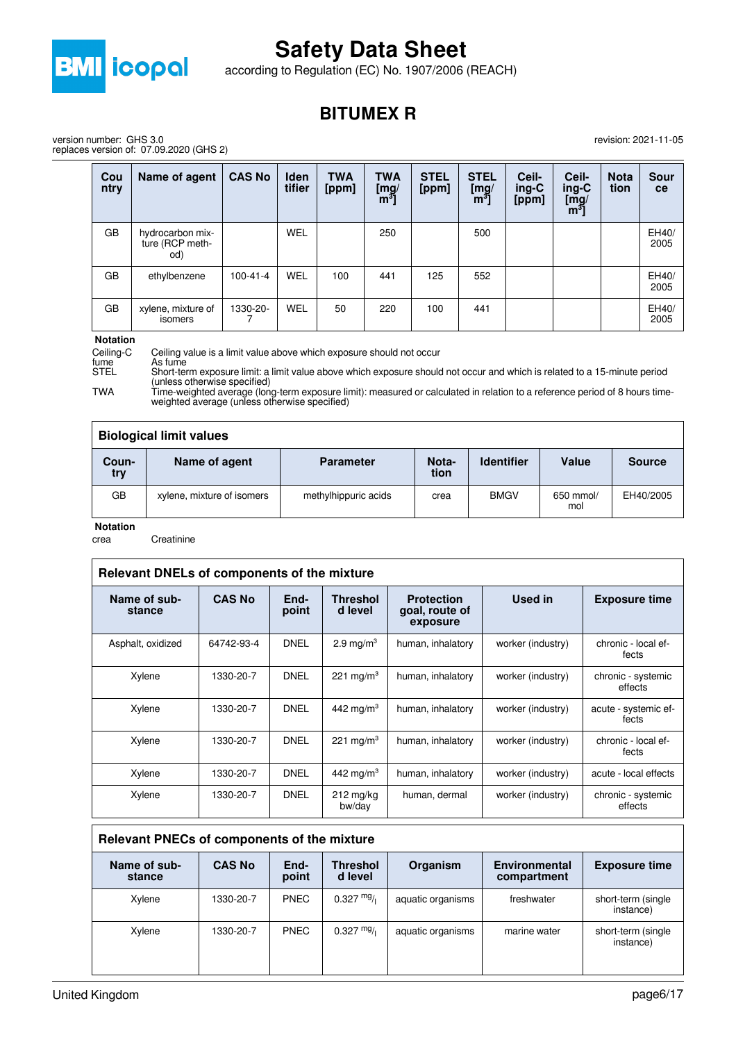

according to Regulation (EC) No. 1907/2006 (REACH)

### **BITUMEX R**

version number: GHS 3.0 replaces version of: 07.09.2020 (GHS 2)

| Cou<br>ntry | Name of agent                              | <b>CAS No</b>  | <b>Iden</b><br>tifier | <b>TWA</b><br>[ppm] | <b>TWA</b><br>$\begin{bmatrix} \mathsf{mg} / \mathsf{m}^3 \end{bmatrix}$ | <b>STEL</b><br>[ppm] | <b>STEL</b><br>$\begin{bmatrix} \mathsf{mg} / \ \mathsf{m}^3 \end{bmatrix}$ | Ceil-<br>ing-C<br>[ppm] | Ceil-<br>ing-C<br>$\begin{bmatrix} \overline{m}g \\ m^3 \end{bmatrix}$ | <b>Nota</b><br>tion | <b>Sour</b><br><b>ce</b> |
|-------------|--------------------------------------------|----------------|-----------------------|---------------------|--------------------------------------------------------------------------|----------------------|-----------------------------------------------------------------------------|-------------------------|------------------------------------------------------------------------|---------------------|--------------------------|
| GB          | hydrocarbon mix-<br>ture (RCP meth-<br>od) |                | <b>WEL</b>            |                     | 250                                                                      |                      | 500                                                                         |                         |                                                                        |                     | EH40/<br>2005            |
| GB          | ethylbenzene                               | $100 - 41 - 4$ | WEL                   | 100                 | 441                                                                      | 125                  | 552                                                                         |                         |                                                                        |                     | EH40/<br>2005            |
| GB          | xylene, mixture of<br>isomers              | 1330-20-       | <b>WEL</b>            | 50                  | 220                                                                      | 100                  | 441                                                                         |                         |                                                                        |                     | EH40/<br>2005            |

**Notation**

Ceiling-C Ceiling value is a limit value above which exposure should not occur

fume As fume STEL Short-term exposure limit: a limit value above which exposure should not occur and which is related to a 15-minute period

(unless otherwise specified)

TWA Time-weighted average (long-term exposure limit): measured or calculated in relation to a reference period of 8 hours timeweighted average (unless otherwise specified)

| <b>Biological limit values</b> |                            |                      |               |                   |                  |               |  |
|--------------------------------|----------------------------|----------------------|---------------|-------------------|------------------|---------------|--|
| Coun-<br>try                   | Name of agent              | <b>Parameter</b>     | Nota-<br>tion | <b>Identifier</b> | Value            | <b>Source</b> |  |
| GB                             | xylene, mixture of isomers | methylhippuric acids | crea          | <b>BMGV</b>       | 650 mmol/<br>mol | EH40/2005     |  |

**Notation**

crea Creatinine

| Relevant DNELs of components of the mixture |               |               |                               |                                                 |                   |                               |  |
|---------------------------------------------|---------------|---------------|-------------------------------|-------------------------------------------------|-------------------|-------------------------------|--|
| Name of sub-<br>stance                      | <b>CAS No</b> | End-<br>point | <b>Threshol</b><br>d level    | <b>Protection</b><br>goal, route of<br>exposure | Used in           | <b>Exposure time</b>          |  |
| Asphalt, oxidized                           | 64742-93-4    | <b>DNEL</b>   | 2.9 mg/m <sup>3</sup>         | human, inhalatory                               | worker (industry) | chronic - local ef-<br>fects  |  |
| Xylene                                      | 1330-20-7     | <b>DNEL</b>   | 221 mg/m <sup>3</sup>         | human, inhalatory                               | worker (industry) | chronic - systemic<br>effects |  |
| Xylene                                      | 1330-20-7     | <b>DNEL</b>   | 442 mg/m <sup>3</sup>         | human, inhalatory                               | worker (industry) | acute - systemic ef-<br>fects |  |
| Xylene                                      | 1330-20-7     | <b>DNEL</b>   | 221 mg/m <sup>3</sup>         | human, inhalatory                               | worker (industry) | chronic - local ef-<br>fects  |  |
| Xylene                                      | 1330-20-7     | <b>DNEL</b>   | 442 mg/m <sup>3</sup>         | human, inhalatory                               | worker (industry) | acute - local effects         |  |
| Xylene                                      | 1330-20-7     | <b>DNEL</b>   | $212 \text{ mg/kg}$<br>bw/day | human, dermal                                   | worker (industry) | chronic - systemic<br>effects |  |

| Relevant PNECs of components of the mixture |               |               |                            |                   |                                     |                                 |  |
|---------------------------------------------|---------------|---------------|----------------------------|-------------------|-------------------------------------|---------------------------------|--|
| Name of sub-<br>stance                      | <b>CAS No</b> | End-<br>point | <b>Threshol</b><br>d level | Organism          | <b>Environmental</b><br>compartment | <b>Exposure time</b>            |  |
| Xylene                                      | 1330-20-7     | <b>PNEC</b>   | $0.327 \frac{mg}{l}$       | aquatic organisms | freshwater                          | short-term (single<br>instance) |  |
| Xylene                                      | 1330-20-7     | <b>PNEC</b>   | $0.327 \text{ mg}$         | aquatic organisms | marine water                        | short-term (single<br>instance) |  |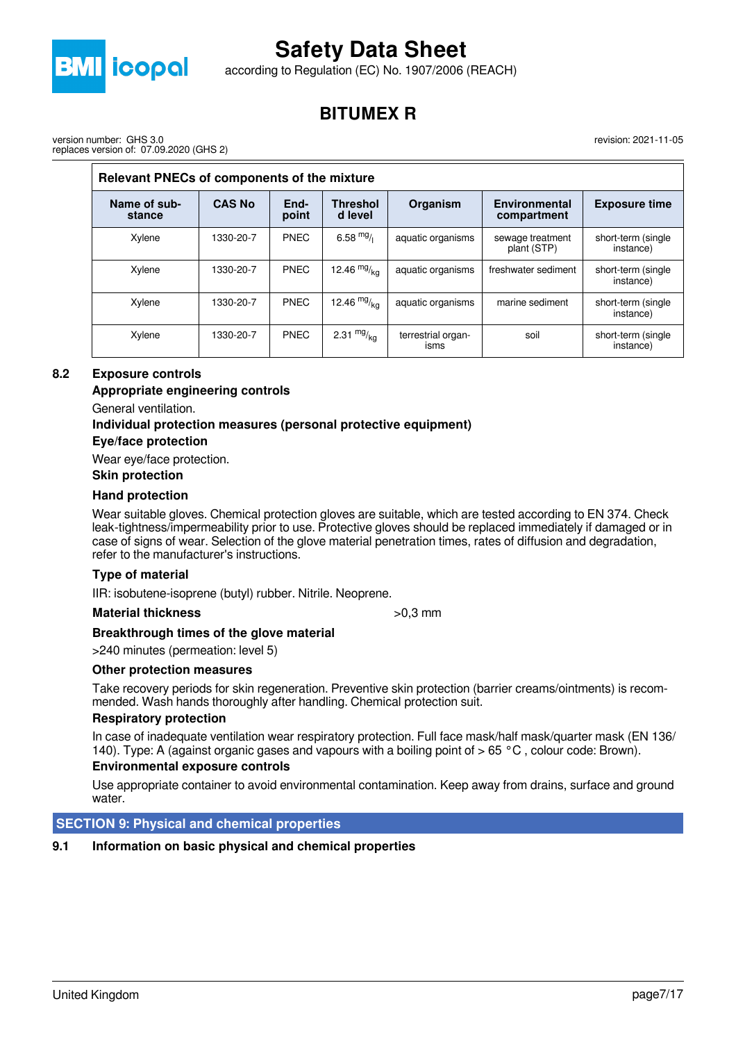

according to Regulation (EC) No. 1907/2006 (REACH)

### **BITUMEX R**

revision: 2021-11-05

version number: GHS 3.0 replaces version of: 07.09.2020 (GHS 2)

| Relevant PNECs of components of the mixture |               |               |                            |                            |                                     |                                  |  |
|---------------------------------------------|---------------|---------------|----------------------------|----------------------------|-------------------------------------|----------------------------------|--|
| Name of sub-<br>stance                      | <b>CAS No</b> | End-<br>point | <b>Threshol</b><br>d level | Organism                   | <b>Environmental</b><br>compartment | <b>Exposure time</b>             |  |
| Xylene                                      | 1330-20-7     | <b>PNEC</b>   | 6.58 $mg/$                 | aquatic organisms          | sewage treatment<br>plant (STP)     | short-term (single)<br>instance) |  |
| Xylene                                      | 1330-20-7     | <b>PNEC</b>   | 12.46 $mg/kq$              | aquatic organisms          | freshwater sediment                 | short-term (single<br>instance)  |  |
| Xylene                                      | 1330-20-7     | <b>PNEC</b>   | 12.46 $mg/kq$              | aquatic organisms          | marine sediment                     | short-term (single<br>instance)  |  |
| Xylene                                      | 1330-20-7     | <b>PNEC</b>   | 2.31 $mg/kq$               | terrestrial organ-<br>isms | soil                                | short-term (single<br>instance)  |  |

### **8.2 Exposure controls**

### **Appropriate engineering controls**

General ventilation.

### **Individual protection measures (personal protective equipment)**

### **Eye/face protection**

Wear eye/face protection.

### **Skin protection**

### **Hand protection**

Wear suitable gloves. Chemical protection gloves are suitable, which are tested according to EN 374. Check leak-tightness/impermeability prior to use. Protective gloves should be replaced immediately if damaged or in case of signs of wear. Selection of the glove material penetration times, rates of diffusion and degradation, refer to the manufacturer's instructions.

### **Type of material**

IIR: isobutene-isoprene (butyl) rubber. Nitrile. Neoprene.

### **Material thickness**  $>0.3$  mm

### **Breakthrough times of the glove material**

>240 minutes (permeation: level 5)

### **Other protection measures**

Take recovery periods for skin regeneration. Preventive skin protection (barrier creams/ointments) is recommended. Wash hands thoroughly after handling. Chemical protection suit.

### **Respiratory protection**

In case of inadequate ventilation wear respiratory protection. Full face mask/half mask/quarter mask (EN 136/ 140). Type: A (against organic gases and vapours with a boiling point of  $> 65 °C$ , colour code: Brown).

### **Environmental exposure controls**

Use appropriate container to avoid environmental contamination. Keep away from drains, surface and ground water.

### **SECTION 9: Physical and chemical properties**

### **9.1 Information on basic physical and chemical properties**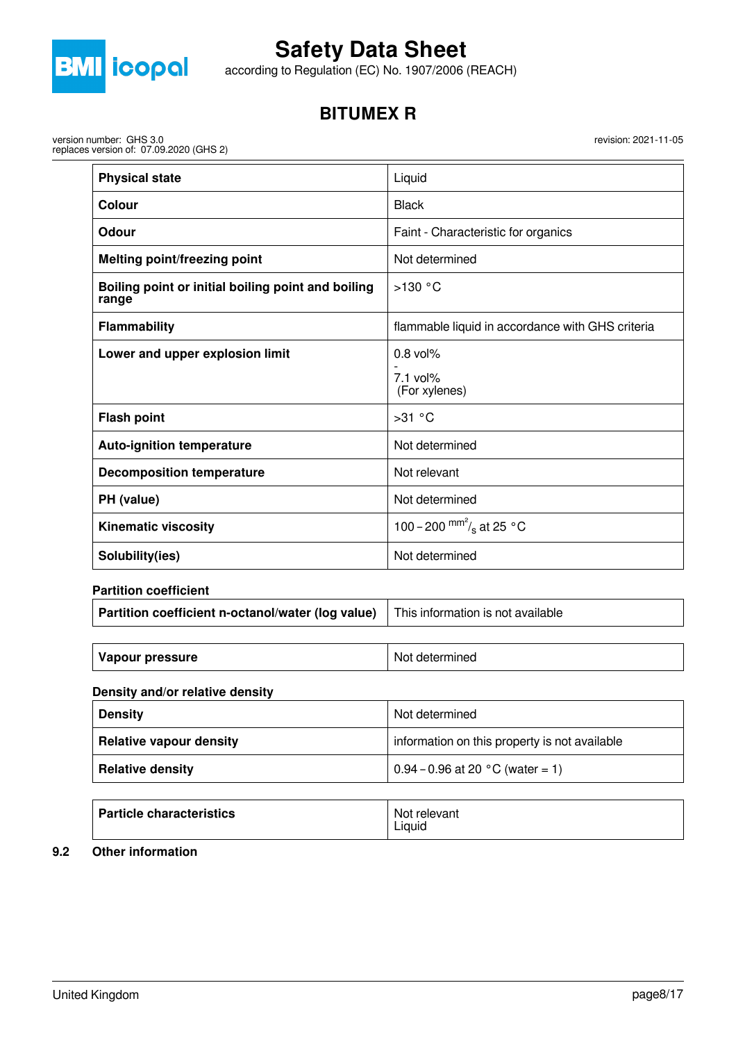

according to Regulation (EC) No. 1907/2006 (REACH)

### **BITUMEX R**

version number: GHS 3.0 replaces version of: 07.09.2020 (GHS 2) revision: 2021-11-05

| <b>Physical state</b>                                       | Liquid                                           |
|-------------------------------------------------------------|--------------------------------------------------|
| Colour                                                      | <b>Black</b>                                     |
| Odour                                                       | Faint - Characteristic for organics              |
| <b>Melting point/freezing point</b>                         | Not determined                                   |
| Boiling point or initial boiling point and boiling<br>range | $>130$ °C                                        |
| <b>Flammability</b>                                         | flammable liquid in accordance with GHS criteria |
| Lower and upper explosion limit                             | $0.8$ vol%                                       |
|                                                             | $7.1$ vol%<br>(For xylenes)                      |
| <b>Flash point</b>                                          | >31 °C                                           |
| <b>Auto-ignition temperature</b>                            | Not determined                                   |
| <b>Decomposition temperature</b>                            | Not relevant                                     |
| PH (value)                                                  | Not determined                                   |
| <b>Kinematic viscosity</b>                                  | 100 – 200 $\frac{mm^2}{s}$ at 25 °C              |
| Solubility(ies)                                             | Not determined                                   |

### **Partition coefficient**

| <b>Partition coefficient n-octanol/water (log value)</b> This information is not available |  |
|--------------------------------------------------------------------------------------------|--|
|--------------------------------------------------------------------------------------------|--|

| <b>apour pressure</b> | No.<br>vetermined<br>______ |
|-----------------------|-----------------------------|
|-----------------------|-----------------------------|

### **Density and/or relative density**

| <b>Density</b>                 | Not determined                                |
|--------------------------------|-----------------------------------------------|
| <b>Relative vapour density</b> | information on this property is not available |
| <b>Relative density</b>        | $\vert 0.94 - 0.96$ at 20 °C (water = 1)      |

| <b>Particle characteristics</b> | Not relevant<br>Liguid |
|---------------------------------|------------------------|
|---------------------------------|------------------------|

### **9.2 Other information**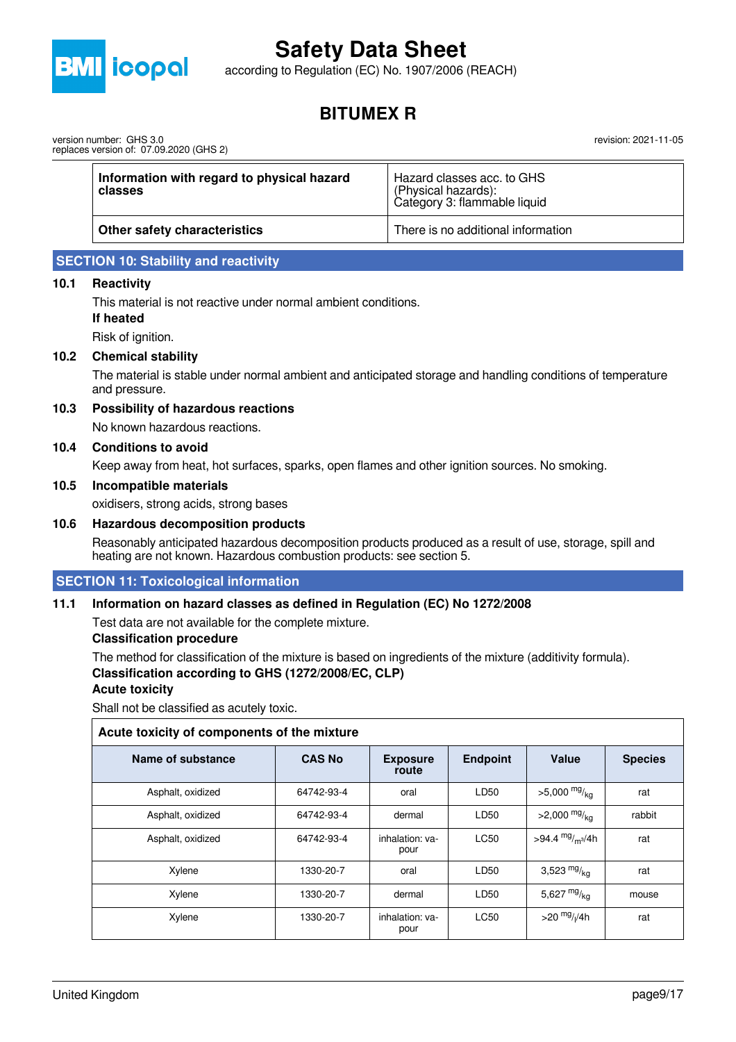

according to Regulation (EC) No. 1907/2006 (REACH)

### **BITUMEX R**

version number: GHS 3.0 replaces version of: 07.09.2020 (GHS 2)

| Information with regard to physical hazard | Hazard classes acc. to GHS                            |
|--------------------------------------------|-------------------------------------------------------|
| classes                                    | (Physical hazards):<br>  Category 3: flammable liquid |
| <b>Other safety characteristics</b>        | There is no additional information                    |

### **SECTION 10: Stability and reactivity**

### **10.1 Reactivity**

This material is not reactive under normal ambient conditions.

**If heated**

Risk of ignition.

### **10.2 Chemical stability**

The material is stable under normal ambient and anticipated storage and handling conditions of temperature and pressure.

### **10.3 Possibility of hazardous reactions**

No known hazardous reactions.

### **10.4 Conditions to avoid**

Keep away from heat, hot surfaces, sparks, open flames and other ignition sources. No smoking.

### **10.5 Incompatible materials**

oxidisers, strong acids, strong bases

### **10.6 Hazardous decomposition products**

Reasonably anticipated hazardous decomposition products produced as a result of use, storage, spill and heating are not known. Hazardous combustion products: see section 5.

### **SECTION 11: Toxicological information**

### **11.1 Information on hazard classes as defined in Regulation (EC) No 1272/2008**

Test data are not available for the complete mixture.

### **Classification procedure**

The method for classification of the mixture is based on ingredients of the mixture (additivity formula).

### **Classification according to GHS (1272/2008/EC, CLP)**

### **Acute toxicity**

 $\sqrt{ }$ 

Shall not be classified as acutely toxic.

| Acute toxicity of components of the mixture |               |                          |                 |                            |                |  |
|---------------------------------------------|---------------|--------------------------|-----------------|----------------------------|----------------|--|
| Name of substance                           | <b>CAS No</b> | <b>Exposure</b><br>route | <b>Endpoint</b> | Value                      | <b>Species</b> |  |
| Asphalt, oxidized                           | 64742-93-4    | oral                     | LD50            | $>5,000$ mg/ <sub>ka</sub> | rat            |  |
| Asphalt, oxidized                           | 64742-93-4    | dermal                   | LD50            | >2,000 $mg/kq$             | rabbit         |  |
| Asphalt, oxidized                           | 64742-93-4    | inhalation: va-<br>pour  | <b>LC50</b>     | >94.4 $mg/m^{3}/4h$        | rat            |  |
| Xylene                                      | 1330-20-7     | oral                     | LD50            | 3,523 $mg/kg$              | rat            |  |
| Xylene                                      | 1330-20-7     | dermal                   | LD50            | 5,627 $mg/kq$              | mouse          |  |
| Xylene                                      | 1330-20-7     | inhalation: va-<br>pour  | <b>LC50</b>     | $>$ 20 $mg$ //4h           | rat            |  |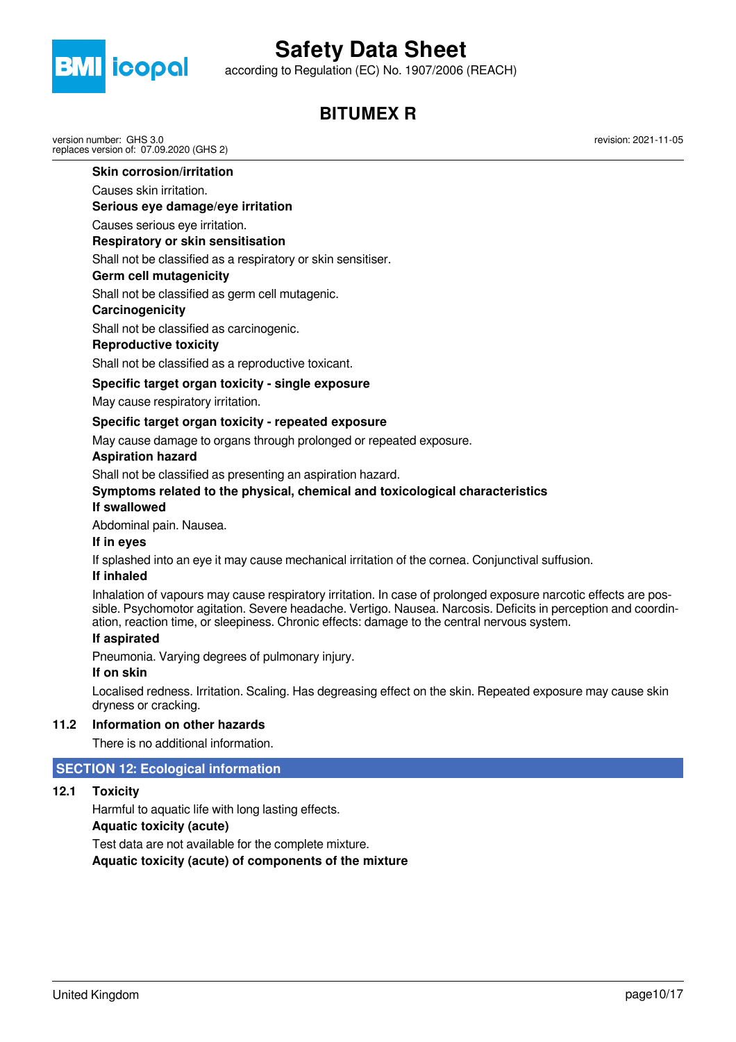

according to Regulation (EC) No. 1907/2006 (REACH)

### **BITUMEX R**

version number: GHS 3.0 replaces version of: 07.09.2020 (GHS 2) revision: 2021-11-05

### **Skin corrosion/irritation**

### Causes skin irritation.

**Serious eye damage/eye irritation**

Causes serious eye irritation.

### **Respiratory or skin sensitisation**

Shall not be classified as a respiratory or skin sensitiser.

### **Germ cell mutagenicity**

Shall not be classified as germ cell mutagenic.

### **Carcinogenicity**

Shall not be classified as carcinogenic.

### **Reproductive toxicity**

Shall not be classified as a reproductive toxicant.

### **Specific target organ toxicity - single exposure**

May cause respiratory irritation.

### **Specific target organ toxicity - repeated exposure**

May cause damage to organs through prolonged or repeated exposure.

### **Aspiration hazard**

Shall not be classified as presenting an aspiration hazard.

### **Symptoms related to the physical, chemical and toxicological characteristics**

### **If swallowed**

Abdominal pain. Nausea.

### **If in eyes**

If splashed into an eye it may cause mechanical irritation of the cornea. Conjunctival suffusion.

### **If inhaled**

Inhalation of vapours may cause respiratory irritation. In case of prolonged exposure narcotic effects are possible. Psychomotor agitation. Severe headache. Vertigo. Nausea. Narcosis. Deficits in perception and coordination, reaction time, or sleepiness. Chronic effects: damage to the central nervous system.

### **If aspirated**

Pneumonia. Varying degrees of pulmonary injury.

### **If on skin**

Localised redness. Irritation. Scaling. Has degreasing effect on the skin. Repeated exposure may cause skin dryness or cracking.

### **11.2 Information on other hazards**

There is no additional information.

### **SECTION 12: Ecological information**

### **12.1 Toxicity**

Harmful to aquatic life with long lasting effects.

### **Aquatic toxicity (acute)**

Test data are not available for the complete mixture. **Aquatic toxicity (acute) of components of the mixture**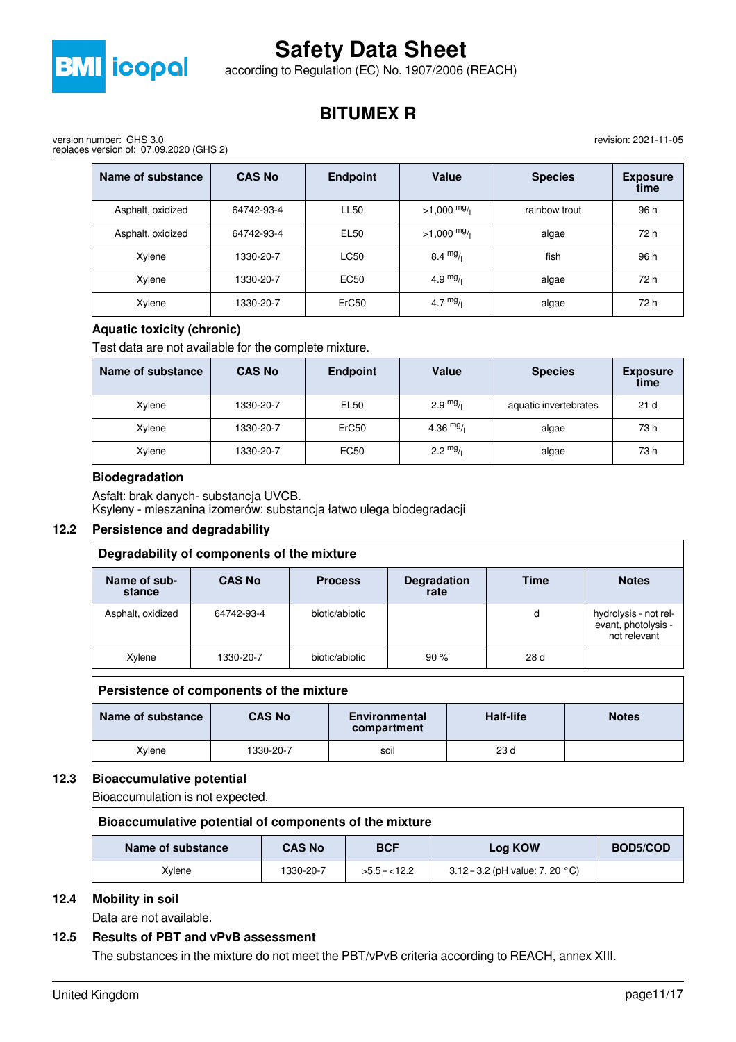

according to Regulation (EC) No. 1907/2006 (REACH)

### **BITUMEX R**

revision: 2021-11-05

version number: GHS 3.0 replaces version of: 07.09.2020 (GHS 2)

| Name of substance | <b>CAS No</b> | <b>Endpoint</b> | Value                 | <b>Species</b> | <b>Exposure</b><br>time |
|-------------------|---------------|-----------------|-----------------------|----------------|-------------------------|
| Asphalt, oxidized | 64742-93-4    | <b>LL50</b>     | $>1,000 \frac{mg}{l}$ | rainbow trout  | 96 h                    |
| Asphalt, oxidized | 64742-93-4    | <b>EL50</b>     | $>1,000 \frac{mg}{l}$ | algae          | 72 h                    |
| Xylene            | 1330-20-7     | <b>LC50</b>     | $8.4 \frac{mg}{l}$    | fish           | 96 h                    |
| Xylene            | 1330-20-7     | <b>EC50</b>     | 4.9 $mg/1$            | algae          | 72 h                    |
| Xylene            | 1330-20-7     | ErC50           | 4.7 $mg/1$            | algae          | 72 h                    |

### **Aquatic toxicity (chronic)**

Test data are not available for the complete mixture.

| Name of substance | <b>CAS No</b> | <b>Endpoint</b>   | Value              | <b>Species</b>        | <b>Exposure</b><br>time |
|-------------------|---------------|-------------------|--------------------|-----------------------|-------------------------|
| Xylene            | 1330-20-7     | EL <sub>50</sub>  | $2.9 \frac{mg}{l}$ | aquatic invertebrates | 21 <sub>d</sub>         |
| Xylene            | 1330-20-7     | ErC <sub>50</sub> | 4.36 $mg/$         | algae                 | 73h                     |
| Xylene            | 1330-20-7     | <b>EC50</b>       | $2.2 \frac{mg}{l}$ | algae                 | 73h                     |

### **Biodegradation**

Asfalt: brak danych- substancja UVCB. Ksyleny - mieszanina izomerów: substancja łatwo ulega biodegradacji

### **12.2 Persistence and degradability**

| Degradability of components of the mixture |               |                |                            |             |                                                              |
|--------------------------------------------|---------------|----------------|----------------------------|-------------|--------------------------------------------------------------|
| Name of sub-<br>stance                     | <b>CAS No</b> | <b>Process</b> | <b>Degradation</b><br>rate | <b>Time</b> | <b>Notes</b>                                                 |
| Asphalt, oxidized                          | 64742-93-4    | biotic/abiotic |                            | d           | hydrolysis - not rel-<br>evant, photolysis -<br>not relevant |
| Xylene                                     | 1330-20-7     | biotic/abiotic | 90%                        | 28 d        |                                                              |

### **Persistence of components of the mixture**

| Name of substance | <b>CAS No</b> | <b>Environmental</b><br>compartment | <b>Half-life</b> | <b>Notes</b> |
|-------------------|---------------|-------------------------------------|------------------|--------------|
| Xvlene            | 1330-20-7     | soil                                | 23 <sub>d</sub>  |              |

### **12.3 Bioaccumulative potential**

Bioaccumulation is not expected.

| Bioaccumulative potential of components of the mixture |               |               |                                           |          |
|--------------------------------------------------------|---------------|---------------|-------------------------------------------|----------|
| Name of substance                                      | <b>CAS No</b> | <b>BCF</b>    | Log KOW                                   | BOD5/COD |
| Xvlene                                                 | 1330-20-7     | $>5.5 - 12.2$ | 3.12 – 3.2 (pH value: 7, 20 $^{\circ}$ C) |          |

### **12.4 Mobility in soil**

Data are not available.

### **12.5 Results of PBT and vPvB assessment**

The substances in the mixture do not meet the PBT/vPvB criteria according to REACH, annex XIII.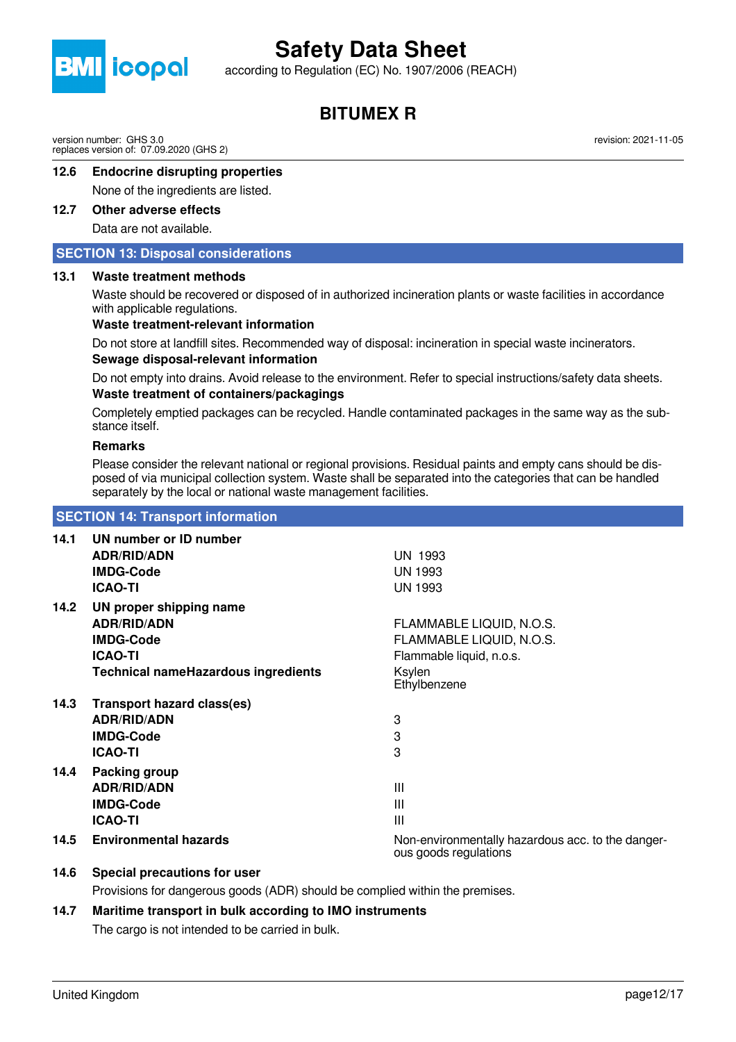

according to Regulation (EC) No. 1907/2006 (REACH)

### **BITUMEX R**

version number: GHS 3.0 replaces version of: 07.09.2020 (GHS 2)

**12.6 Endocrine disrupting properties** None of the ingredients are listed.

### **12.7 Other adverse effects**

Data are not available.

### **SECTION 13: Disposal considerations**

### **13.1 Waste treatment methods**

Waste should be recovered or disposed of in authorized incineration plants or waste facilities in accordance with applicable regulations.

### **Waste treatment-relevant information**

Do not store at landfill sites. Recommended way of disposal: incineration in special waste incinerators. **Sewage disposal-relevant information**

Do not empty into drains. Avoid release to the environment. Refer to special instructions/safety data sheets. **Waste treatment of containers/packagings**

Completely emptied packages can be recycled. Handle contaminated packages in the same way as the substance itself.

### **Remarks**

Please consider the relevant national or regional provisions. Residual paints and empty cans should be disposed of via municipal collection system. Waste shall be separated into the categories that can be handled separately by the local or national waste management facilities.

### **SECTION 14: Transport information**

| 14.1 | UN number or ID number              |                                                                            |
|------|-------------------------------------|----------------------------------------------------------------------------|
|      | <b>ADR/RID/ADN</b>                  | UN 1993                                                                    |
|      | <b>IMDG-Code</b>                    | <b>UN 1993</b>                                                             |
|      | <b>ICAO-TI</b>                      | <b>UN 1993</b>                                                             |
| 14.2 | UN proper shipping name             |                                                                            |
|      | <b>ADR/RID/ADN</b>                  | FLAMMABLE LIQUID, N.O.S.                                                   |
|      | <b>IMDG-Code</b>                    | FLAMMABLE LIQUID, N.O.S.                                                   |
|      | <b>ICAO-TI</b>                      | Flammable liquid, n.o.s.                                                   |
|      | Technical nameHazardous ingredients | Ksylen<br>Ethylbenzene                                                     |
| 14.3 | <b>Transport hazard class(es)</b>   |                                                                            |
|      | <b>ADR/RID/ADN</b>                  | 3                                                                          |
|      | <b>IMDG-Code</b>                    | 3                                                                          |
|      | <b>ICAO-TI</b>                      | 3                                                                          |
| 14.4 | Packing group                       |                                                                            |
|      | <b>ADR/RID/ADN</b>                  | Ш                                                                          |
|      | <b>IMDG-Code</b>                    | Ш                                                                          |
|      | <b>ICAO-TI</b>                      | Ш                                                                          |
| 14.5 | <b>Environmental hazards</b>        | Non-environmentally hazardous acc. to the danger-<br>ous goods regulations |
|      |                                     |                                                                            |

### **14.6 Special precautions for user**

Provisions for dangerous goods (ADR) should be complied within the premises.

### **14.7 Maritime transport in bulk according to IMO instruments**

The cargo is not intended to be carried in bulk.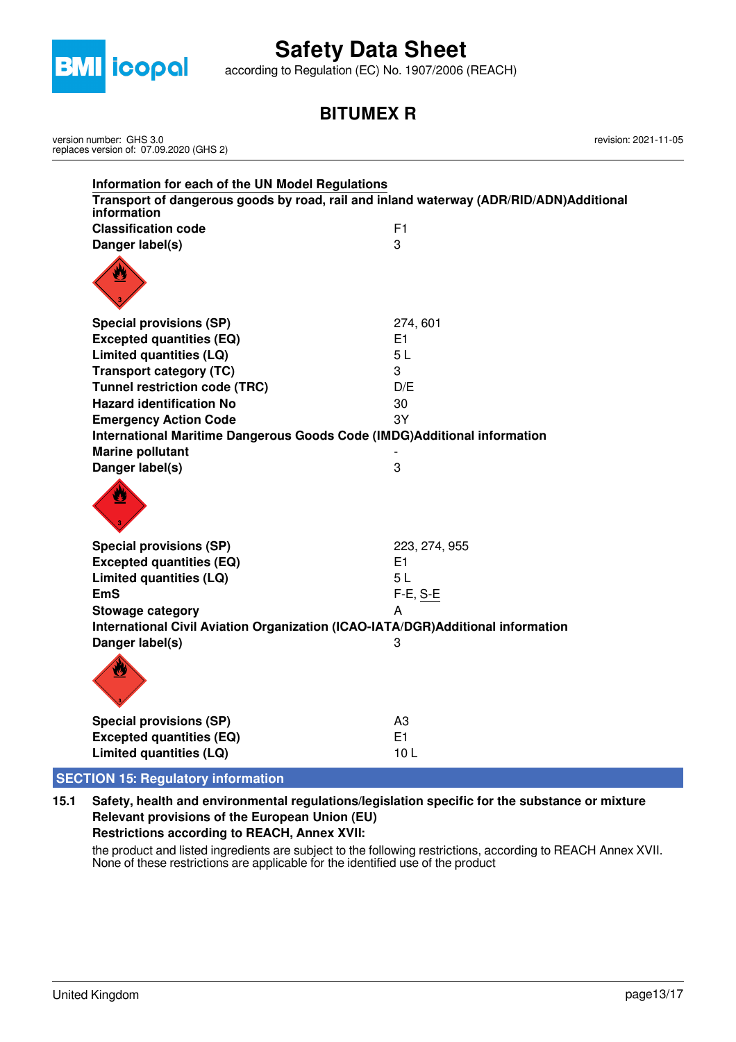

according to Regulation (EC) No. 1907/2006 (REACH)

### **BITUMEX R**

version number: GHS 3.0 replaces version of: 07.09.2020 (GHS 2)

| Information for each of the UN Model Regulations                                                      |                |  |
|-------------------------------------------------------------------------------------------------------|----------------|--|
| Transport of dangerous goods by road, rail and inland waterway (ADR/RID/ADN)Additional<br>information |                |  |
| <b>Classification code</b>                                                                            | F <sub>1</sub> |  |
| Danger label(s)                                                                                       | 3              |  |
|                                                                                                       |                |  |
| <b>Special provisions (SP)</b>                                                                        | 274,601        |  |
| <b>Excepted quantities (EQ)</b>                                                                       | E <sub>1</sub> |  |
| Limited quantities (LQ)                                                                               | 5L             |  |
| <b>Transport category (TC)</b>                                                                        | 3              |  |
| <b>Tunnel restriction code (TRC)</b>                                                                  | D/E            |  |
| <b>Hazard identification No</b>                                                                       | 30             |  |
| <b>Emergency Action Code</b>                                                                          | 3Y             |  |
| International Maritime Dangerous Goods Code (IMDG)Additional information                              |                |  |
| <b>Marine pollutant</b>                                                                               |                |  |
| Danger label(s)                                                                                       | 3              |  |
|                                                                                                       |                |  |
| <b>Special provisions (SP)</b>                                                                        | 223, 274, 955  |  |
| <b>Excepted quantities (EQ)</b>                                                                       | E <sub>1</sub> |  |
| Limited quantities (LQ)                                                                               | 5L             |  |
| <b>EmS</b>                                                                                            | F-E, S-E       |  |
| <b>Stowage category</b>                                                                               | А              |  |
| International Civil Aviation Organization (ICAO-IATA/DGR)Additional information                       |                |  |
| Danger label(s)                                                                                       | 3              |  |
|                                                                                                       |                |  |
| <b>Special provisions (SP)</b>                                                                        | A <sub>3</sub> |  |
| <b>Excepted quantities (EQ)</b>                                                                       | E1             |  |
| <b>Limited quantities (LQ)</b>                                                                        | 10L            |  |
| <b>TON 15: Regulatory information</b>                                                                 |                |  |

**15.1 Safety, health and environmental regulations/legislation specific for the substance or mixture Relevant provisions of the European Union (EU) Restrictions according to REACH, Annex XVII:**

the product and listed ingredients are subject to the following restrictions, according to REACH Annex XVII. None of these restrictions are applicable for the identified use of the product

**SECT**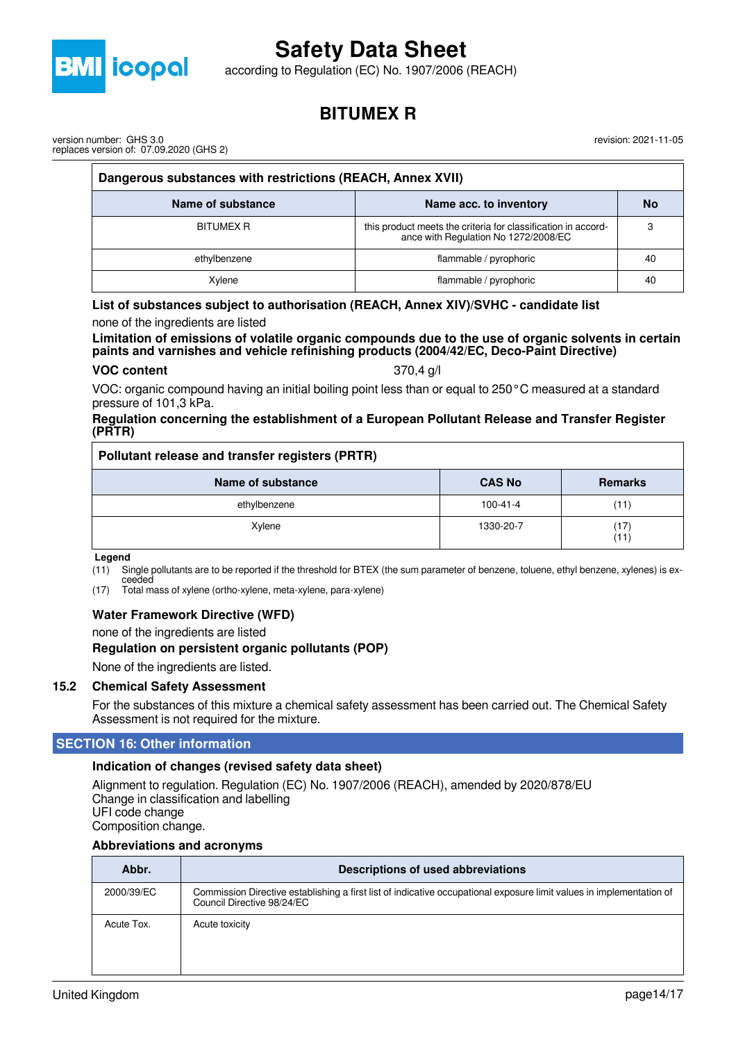

according to Regulation (EC) No. 1907/2006 (REACH)

### **BITUMEX R**

revision: 2021-11-05

version number: GHS 3.0 replaces version of: 07.09.2020 (GHS 2)

| Dangerous substances with restrictions (REACH, Annex XVII) |                                                                                                       |           |
|------------------------------------------------------------|-------------------------------------------------------------------------------------------------------|-----------|
| Name of substance                                          | Name acc. to inventory                                                                                | <b>No</b> |
| <b>BITUMEX R</b>                                           | this product meets the criteria for classification in accord-<br>ance with Regulation No 1272/2008/EC | 3         |
| ethylbenzene                                               | flammable / pyrophoric                                                                                | 40        |
| Xvlene                                                     | flammable / pyrophoric                                                                                | 40        |

### **List of substances subject to authorisation (REACH, Annex XIV)/SVHC - candidate list** none of the ingredients are listed

**Limitation of emissions of volatile organic compounds due to the use of organic solvents in certain paints and varnishes and vehicle refinishing products (2004/42/EC, Deco-Paint Directive)**

### **VOC content** 370,4 g/l

VOC: organic compound having an initial boiling point less than or equal to 250°C measured at a standard pressure of 101,3 kPa.

### **Regulation concerning the establishment of a European Pollutant Release and Transfer Register (PRTR)**

| Pollutant release and transfer registers (PRTR) |                |                |
|-------------------------------------------------|----------------|----------------|
| Name of substance                               | <b>CAS No</b>  | <b>Remarks</b> |
| ethylbenzene                                    | $100 - 41 - 4$ | (11)           |
| Xylene                                          | 1330-20-7      | (17)<br>(11)   |

**Legend**

(11) Single pollutants are to be reported if the threshold for BTEX (the sum parameter of benzene, toluene, ethyl benzene, xylenes) is ex-

ceeded (17) Total mass of xylene (ortho-xylene, meta-xylene, para-xylene)

### **Water Framework Directive (WFD)**

none of the ingredients are listed

### **Regulation on persistent organic pollutants (POP)**

None of the ingredients are listed.

### **15.2 Chemical Safety Assessment**

For the substances of this mixture a chemical safety assessment has been carried out. The Chemical Safety Assessment is not required for the mixture.

### **SECTION 16: Other information**

### **Indication of changes (revised safety data sheet)**

Alignment to regulation. Regulation (EC) No. 1907/2006 (REACH), amended by 2020/878/EU Change in classification and labelling UFI code change Composition change.

### **Abbreviations and acronyms**

| Abbr.      | Descriptions of used abbreviations                                                                                                                 |
|------------|----------------------------------------------------------------------------------------------------------------------------------------------------|
| 2000/39/EC | Commission Directive establishing a first list of indicative occupational exposure limit values in implementation of<br>Council Directive 98/24/EC |
| Acute Tox. | Acute toxicity                                                                                                                                     |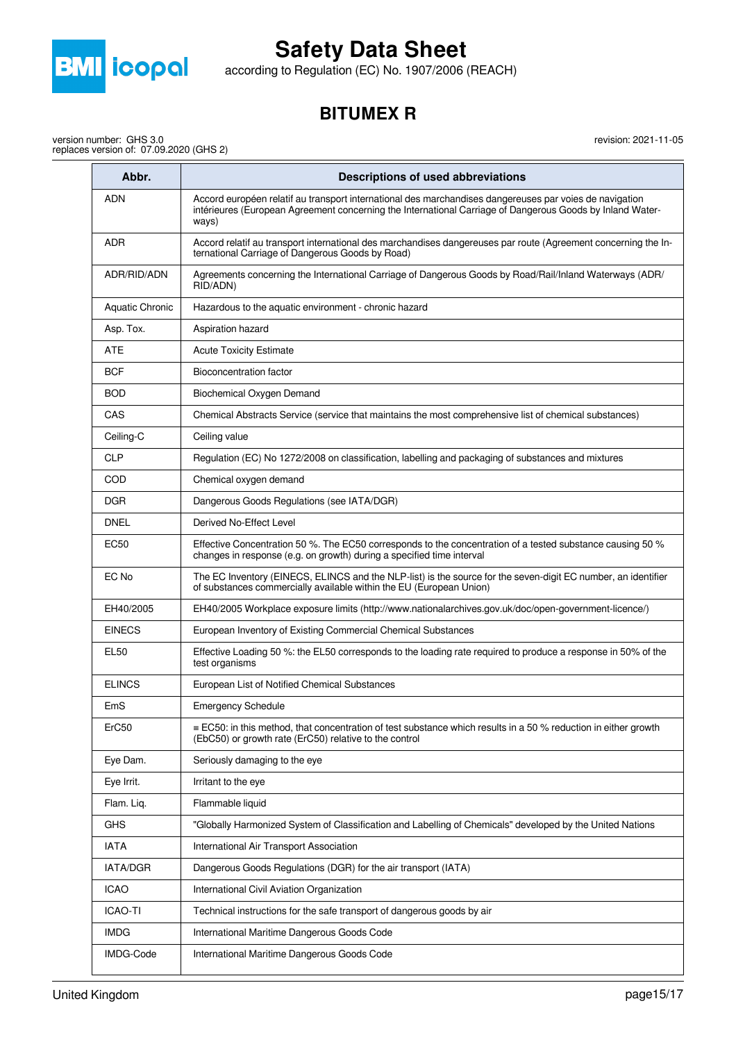

according to Regulation (EC) No. 1907/2006 (REACH)

### **BITUMEX R**

version number: GHS 3.0 replaces version of: 07.09.2020 (GHS 2)

> **Abbr. Descriptions of used abbreviations** ADN Accord européen relatif au transport international des marchandises dangereuses par voies de navigation intérieures (European Agreement concerning the International Carriage of Dangerous Goods by Inland Waterways) Accord relatif au transport international des marchandises dangereuses par route (Agreement concerning the International Carriage of Dangerous Goods by Road) ADR/RID/ADN | Agreements concerning the International Carriage of Dangerous Goods by Road/Rail/Inland Waterways (ADR/ RID/ADN) Aquatic Chronic | Hazardous to the aquatic environment - chronic hazard Asp. Tox. | Aspiration hazard ATE | Acute Toxicity Estimate BCF | Bioconcentration factor BOD Biochemical Oxygen Demand CAS Chemical Abstracts Service (service that maintains the most comprehensive list of chemical substances) Ceiling-C | Ceiling value CLP Regulation (EC) No 1272/2008 on classification, labelling and packaging of substances and mixtures COD Chemical oxygen demand DGR Dangerous Goods Regulations (see IATA/DGR) DNEL Derived No-Effect Level EC50 Effective Concentration 50 %. The EC50 corresponds to the concentration of a tested substance causing 50 % changes in response (e.g. on growth) during a specified time interval EC No The EC Inventory (EINECS, ELINCS and the NLP-list) is the source for the seven-digit EC number, an identifier of substances commercially available within the EU (European Union) EH40/2005 EH40/2005 Workplace exposure limits (http://www.nationalarchives.gov.uk/doc/open-government-licence/) EINECS European Inventory of Existing Commercial Chemical Substances EL50 Effective Loading 50 %: the EL50 corresponds to the loading rate required to produce a response in 50% of the test organisms ELINCS European List of Notified Chemical Substances EmS | Emergency Schedule ErC50 ≡ EC50: in this method, that concentration of test substance which results in a 50 % reduction in either growth (EbC50) or growth rate (ErC50) relative to the control Eye Dam. Seriously damaging to the eye Eye Irrit. **I** Irritant to the eye Flam. Lig. Flammable liquid GHS "Globally Harmonized System of Classification and Labelling of Chemicals" developed by the United Nations IATA | International Air Transport Association IATA/DGR Dangerous Goods Regulations (DGR) for the air transport (IATA) **ICAO** International Civil Aviation Organization ICAO-TI Technical instructions for the safe transport of dangerous goods by air IMDG International Maritime Dangerous Goods Code IMDG-Code | International Maritime Dangerous Goods Code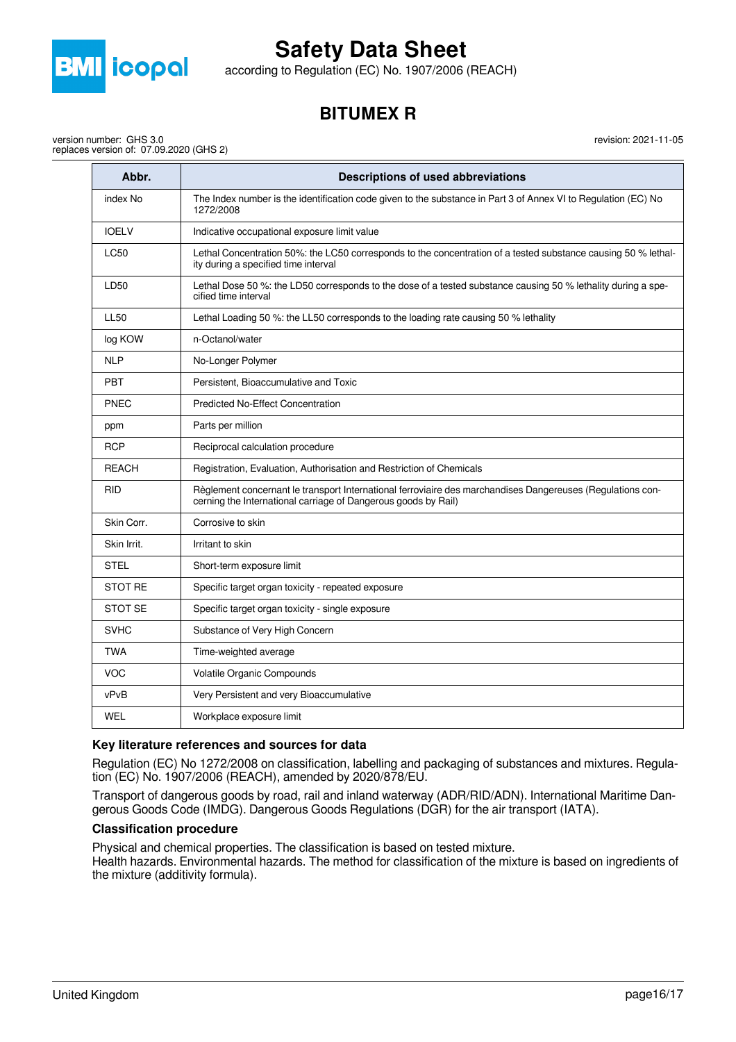

according to Regulation (EC) No. 1907/2006 (REACH)

### **BITUMEX R**

revision: 2021-11-05

version number: GHS 3.0 replaces version of: 07.09.2020 (GHS 2)

| Abbr.        | <b>Descriptions of used abbreviations</b>                                                                                                                                    |
|--------------|------------------------------------------------------------------------------------------------------------------------------------------------------------------------------|
| index No     | The Index number is the identification code given to the substance in Part 3 of Annex VI to Regulation (EC) No<br>1272/2008                                                  |
| <b>IOELV</b> | Indicative occupational exposure limit value                                                                                                                                 |
| <b>LC50</b>  | Lethal Concentration 50%: the LC50 corresponds to the concentration of a tested substance causing 50 % lethal-<br>ity during a specified time interval                       |
| LD50         | Lethal Dose 50 %: the LD50 corresponds to the dose of a tested substance causing 50 % lethality during a spe-<br>cified time interval                                        |
| <b>LL50</b>  | Lethal Loading 50 %: the LL50 corresponds to the loading rate causing 50 % lethality                                                                                         |
| log KOW      | n-Octanol/water                                                                                                                                                              |
| <b>NLP</b>   | No-Longer Polymer                                                                                                                                                            |
| <b>PBT</b>   | Persistent, Bioaccumulative and Toxic                                                                                                                                        |
| <b>PNEC</b>  | <b>Predicted No-Effect Concentration</b>                                                                                                                                     |
| ppm          | Parts per million                                                                                                                                                            |
| RCP          | Reciprocal calculation procedure                                                                                                                                             |
| <b>REACH</b> | Registration, Evaluation, Authorisation and Restriction of Chemicals                                                                                                         |
| <b>RID</b>   | Règlement concernant le transport International ferroviaire des marchandises Dangereuses (Regulations con-<br>cerning the International carriage of Dangerous goods by Rail) |
| Skin Corr.   | Corrosive to skin                                                                                                                                                            |
| Skin Irrit.  | Irritant to skin                                                                                                                                                             |
| <b>STEL</b>  | Short-term exposure limit                                                                                                                                                    |
| STOT RE      | Specific target organ toxicity - repeated exposure                                                                                                                           |
| STOT SE      | Specific target organ toxicity - single exposure                                                                                                                             |
| <b>SVHC</b>  | Substance of Very High Concern                                                                                                                                               |
| <b>TWA</b>   | Time-weighted average                                                                                                                                                        |
| <b>VOC</b>   | Volatile Organic Compounds                                                                                                                                                   |
| vPvB         | Very Persistent and very Bioaccumulative                                                                                                                                     |
| WEL          | Workplace exposure limit                                                                                                                                                     |

### **Key literature references and sources for data**

Regulation (EC) No 1272/2008 on classification, labelling and packaging of substances and mixtures. Regulation (EC) No. 1907/2006 (REACH), amended by 2020/878/EU.

Transport of dangerous goods by road, rail and inland waterway (ADR/RID/ADN). International Maritime Dangerous Goods Code (IMDG). Dangerous Goods Regulations (DGR) for the air transport (IATA).

### **Classification procedure**

Physical and chemical properties. The classification is based on tested mixture. Health hazards. Environmental hazards. The method for classification of the mixture is based on ingredients of the mixture (additivity formula).